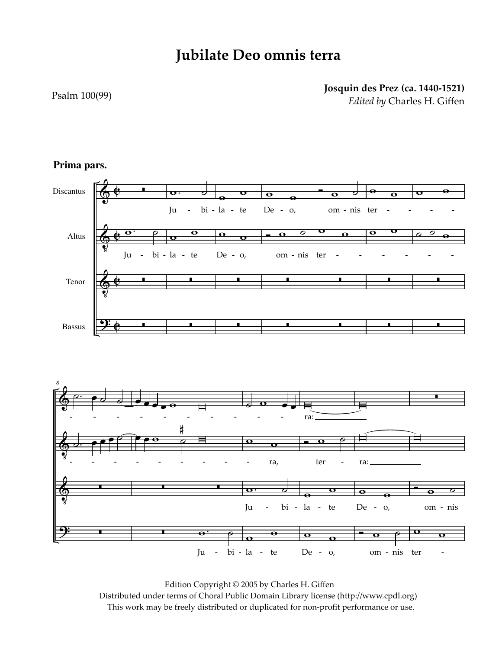## **Jubilate Deo omnis terra**

## Psalm 100(99)

## **Josquin des Prez (ca. 1440-1521)** *Edited by* Charles H. Giffen



## **Prima pars.**

 Edition Copyright © 2005 by Charles H. Giffen Distributed under terms of Choral Public Domain Library license (http://www.cpdl.org) This work may be freely distributed or duplicated for non-profit performance or use.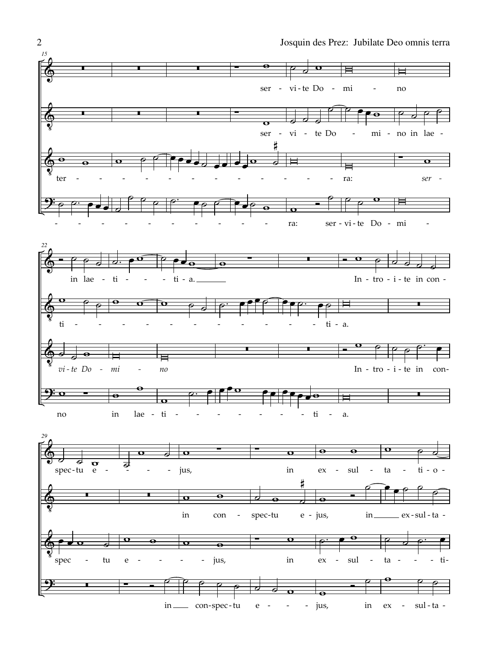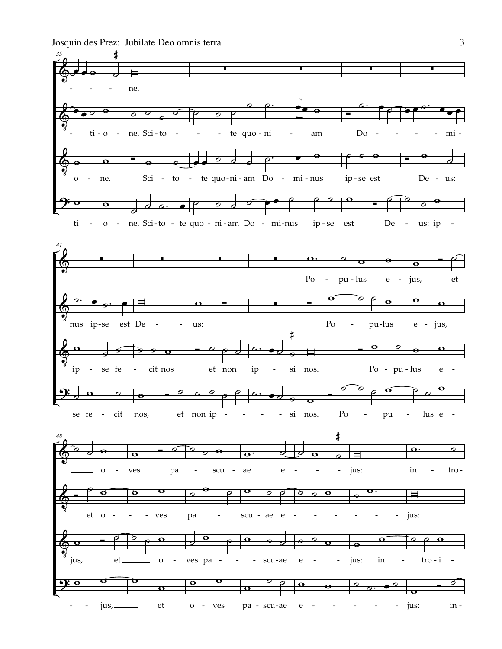Josquin des Prez: Jubilate Deo omnis terra



 $\overline{3}$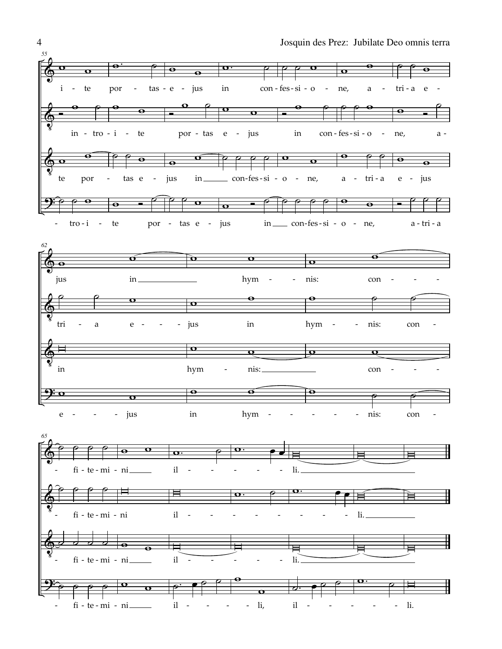

4 Josquin des Prez: Jubilate Deo omnis terra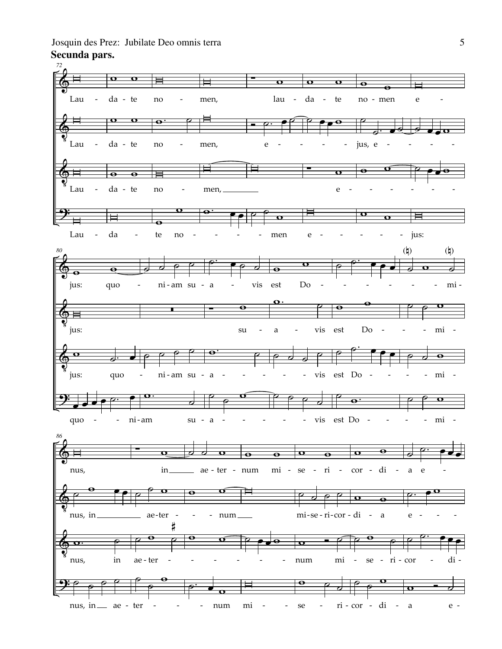**Secunda pars.** Josquin des Prez: Jubilate Deo omnis terra 5

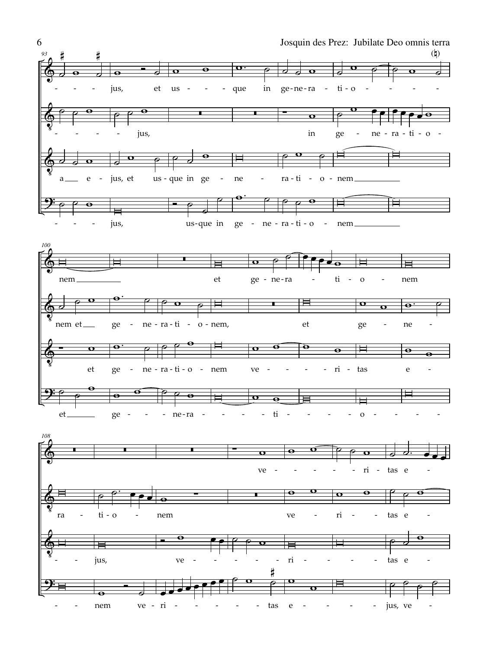